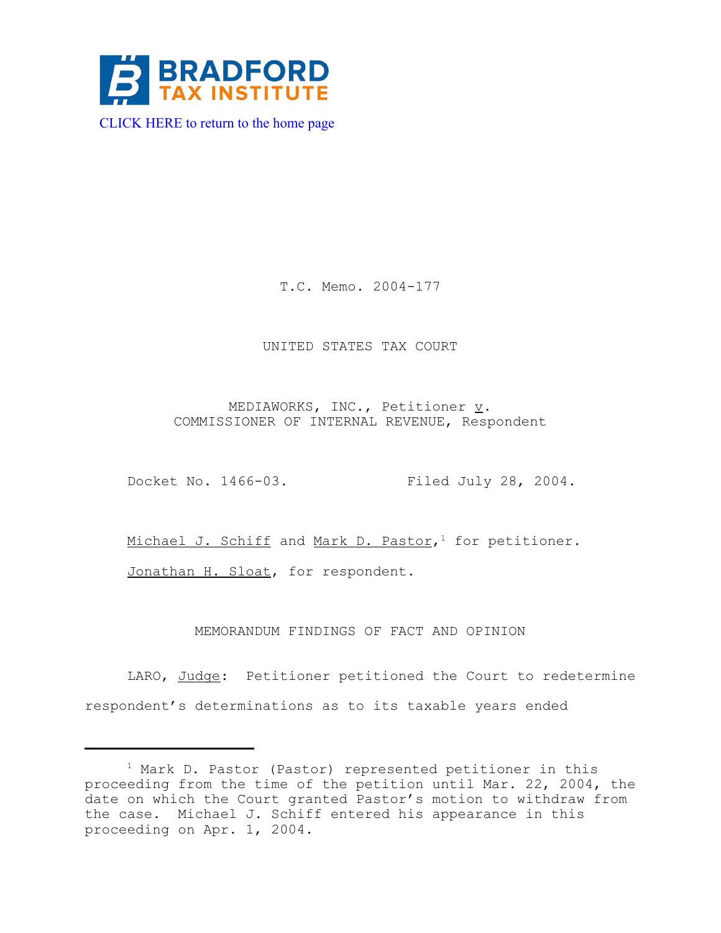

[CLICK HERE to return to the home page](http://bradfordtaxinstitute.com/index1.aspx) 

T.C. Memo. 2004-177

## UNITED STATES TAX COURT

MEDIAWORKS, INC., Petitioner  $\underline{v}$ . COMMISSIONER OF INTERNAL REVENUE, Respondent

Docket No. 1466-03. Filed July 28, 2004.

Michael J. Schiff and Mark D. Pastor,<sup>1</sup> for petitioner.

Jonathan H. Sloat, for respondent.

MEMORANDUM FINDINGS OF FACT AND OPINION

LARO, Judge: Petitioner petitioned the Court to redetermine respondent's determinations as to its taxable years ended

<sup>&</sup>lt;sup>1</sup> Mark D. Pastor (Pastor) represented petitioner in this proceeding from the time of the petition until Mar. 22, 2004, the date on which the Court granted Pastor's motion to withdraw from the case. Michael J. Schiff entered his appearance in this proceeding on Apr. 1, 2004.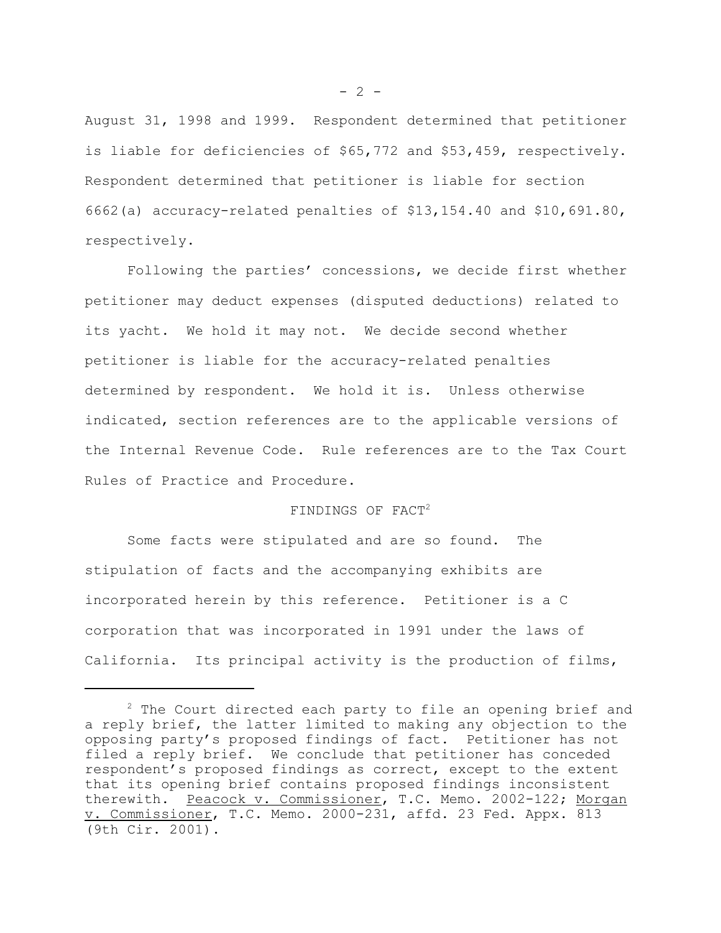August 31, 1998 and 1999. Respondent determined that petitioner is liable for deficiencies of \$65,772 and \$53,459, respectively. Respondent determined that petitioner is liable for section 6662(a) accuracy-related penalties of \$13,154.40 and \$10,691.80, respectively.

Following the parties' concessions, we decide first whether petitioner may deduct expenses (disputed deductions) related to its yacht. We hold it may not. We decide second whether petitioner is liable for the accuracy-related penalties determined by respondent. We hold it is. Unless otherwise indicated, section references are to the applicable versions of the Internal Revenue Code. Rule references are to the Tax Court Rules of Practice and Procedure.

#### FINDINGS OF FACT2

Some facts were stipulated and are so found. The stipulation of facts and the accompanying exhibits are incorporated herein by this reference. Petitioner is a C corporation that was incorporated in 1991 under the laws of California. Its principal activity is the production of films,

 $- 2 -$ 

 $2$  The Court directed each party to file an opening brief and a reply brief, the latter limited to making any objection to the opposing party's proposed findings of fact. Petitioner has not filed a reply brief. We conclude that petitioner has conceded respondent's proposed findings as correct, except to the extent that its opening brief contains proposed findings inconsistent therewith. Peacock v. Commissioner, T.C. Memo. 2002-122; Morgan v. Commissioner, T.C. Memo. 2000-231, affd. 23 Fed. Appx. 813 (9th Cir. 2001).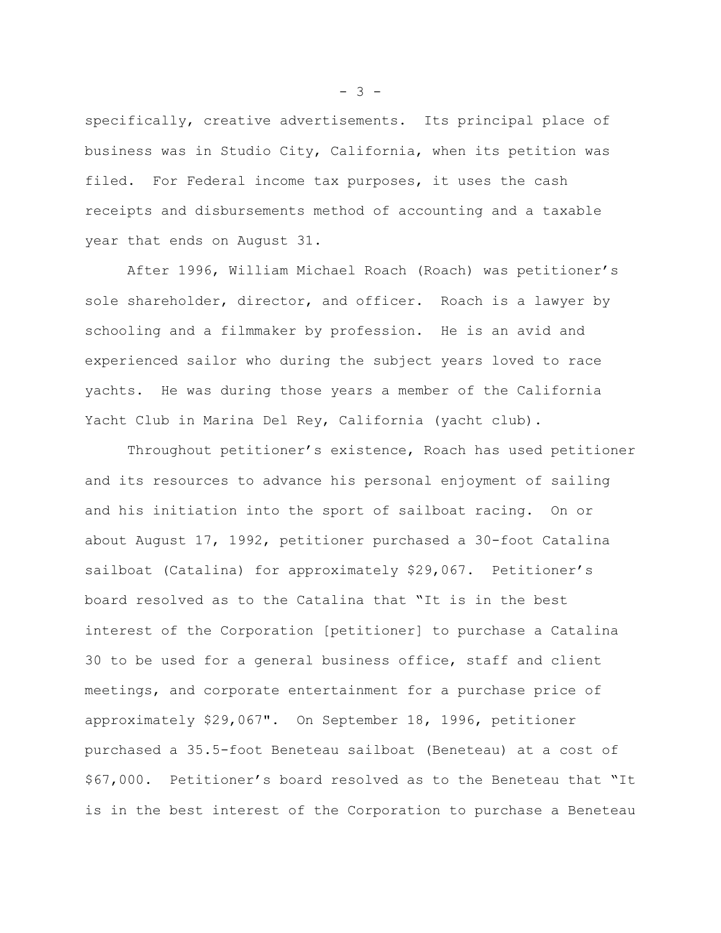specifically, creative advertisements. Its principal place of business was in Studio City, California, when its petition was filed. For Federal income tax purposes, it uses the cash receipts and disbursements method of accounting and a taxable year that ends on August 31.

After 1996, William Michael Roach (Roach) was petitioner's sole shareholder, director, and officer. Roach is a lawyer by schooling and a filmmaker by profession. He is an avid and experienced sailor who during the subject years loved to race yachts. He was during those years a member of the California Yacht Club in Marina Del Rey, California (yacht club).

Throughout petitioner's existence, Roach has used petitioner and its resources to advance his personal enjoyment of sailing and his initiation into the sport of sailboat racing. On or about August 17, 1992, petitioner purchased a 30-foot Catalina sailboat (Catalina) for approximately \$29,067. Petitioner's board resolved as to the Catalina that "It is in the best interest of the Corporation [petitioner] to purchase a Catalina 30 to be used for a general business office, staff and client meetings, and corporate entertainment for a purchase price of approximately \$29,067". On September 18, 1996, petitioner purchased a 35.5-foot Beneteau sailboat (Beneteau) at a cost of \$67,000. Petitioner's board resolved as to the Beneteau that "It is in the best interest of the Corporation to purchase a Beneteau

 $- 3 -$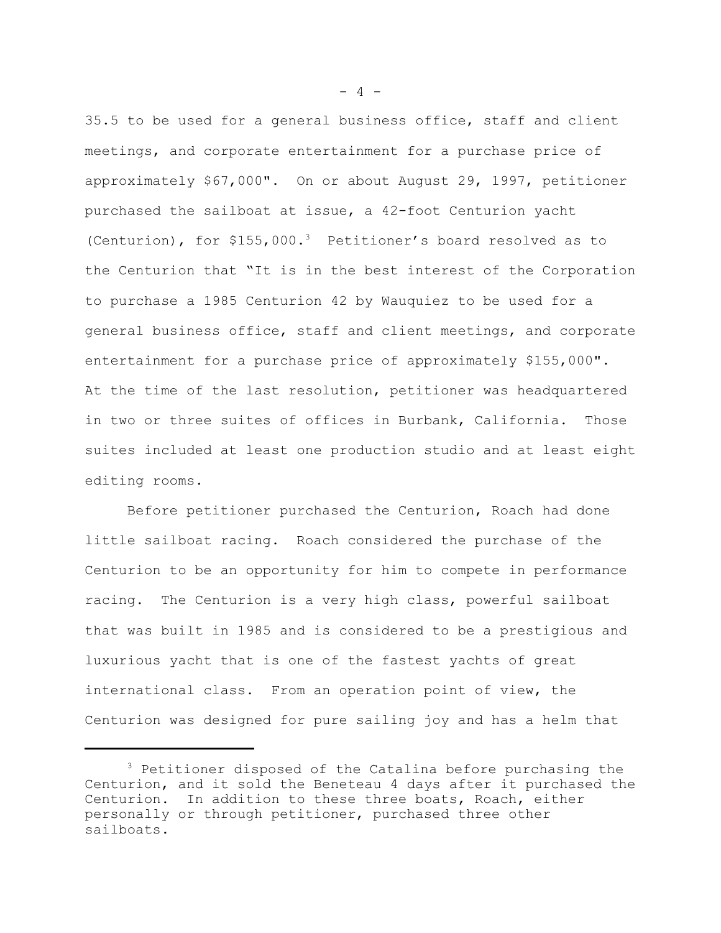35.5 to be used for a general business office, staff and client meetings, and corporate entertainment for a purchase price of approximately \$67,000". On or about August 29, 1997, petitioner purchased the sailboat at issue, a 42-foot Centurion yacht (Centurion), for  $$155,000.^3$  Petitioner's board resolved as to the Centurion that "It is in the best interest of the Corporation to purchase a 1985 Centurion 42 by Wauquiez to be used for a general business office, staff and client meetings, and corporate entertainment for a purchase price of approximately \$155,000". At the time of the last resolution, petitioner was headquartered in two or three suites of offices in Burbank, California. Those suites included at least one production studio and at least eight editing rooms.

Before petitioner purchased the Centurion, Roach had done little sailboat racing. Roach considered the purchase of the Centurion to be an opportunity for him to compete in performance racing. The Centurion is a very high class, powerful sailboat that was built in 1985 and is considered to be a prestigious and luxurious yacht that is one of the fastest yachts of great international class. From an operation point of view, the Centurion was designed for pure sailing joy and has a helm that

 $- 4 -$ 

<sup>&</sup>lt;sup>3</sup> Petitioner disposed of the Catalina before purchasing the Centurion, and it sold the Beneteau 4 days after it purchased the Centurion. In addition to these three boats, Roach, either personally or through petitioner, purchased three other sailboats.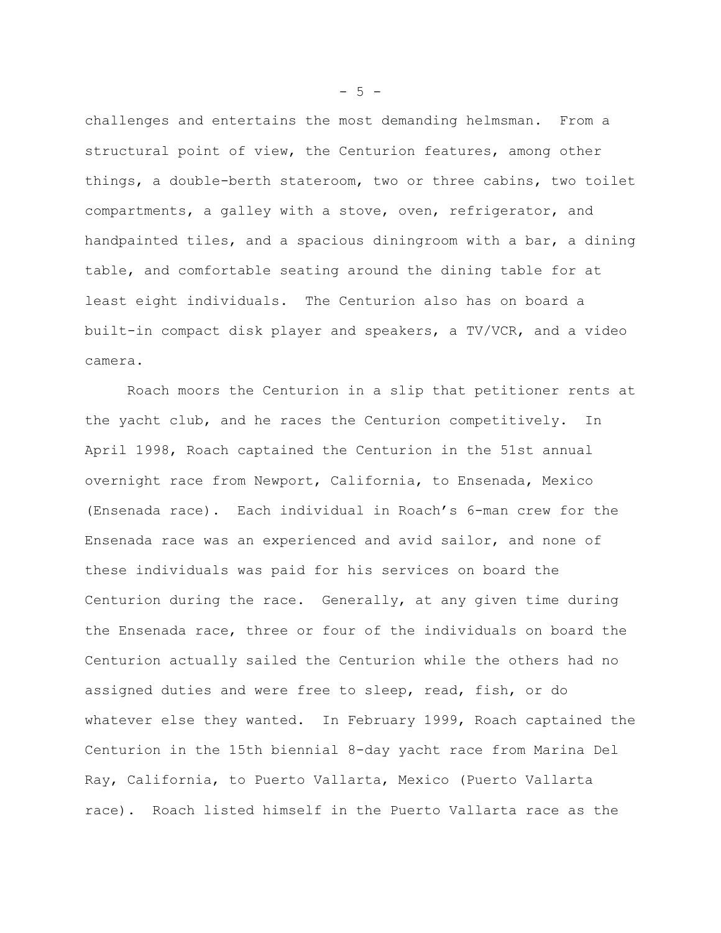challenges and entertains the most demanding helmsman. From a structural point of view, the Centurion features, among other things, a double-berth stateroom, two or three cabins, two toilet compartments, a galley with a stove, oven, refrigerator, and handpainted tiles, and a spacious diningroom with a bar, a dining table, and comfortable seating around the dining table for at least eight individuals. The Centurion also has on board a built-in compact disk player and speakers, a TV/VCR, and a video camera.

Roach moors the Centurion in a slip that petitioner rents at the yacht club, and he races the Centurion competitively. In April 1998, Roach captained the Centurion in the 51st annual overnight race from Newport, California, to Ensenada, Mexico (Ensenada race). Each individual in Roach's 6-man crew for the Ensenada race was an experienced and avid sailor, and none of these individuals was paid for his services on board the Centurion during the race. Generally, at any given time during the Ensenada race, three or four of the individuals on board the Centurion actually sailed the Centurion while the others had no assigned duties and were free to sleep, read, fish, or do whatever else they wanted. In February 1999, Roach captained the Centurion in the 15th biennial 8-day yacht race from Marina Del Ray, California, to Puerto Vallarta, Mexico (Puerto Vallarta race). Roach listed himself in the Puerto Vallarta race as the

 $- 5 -$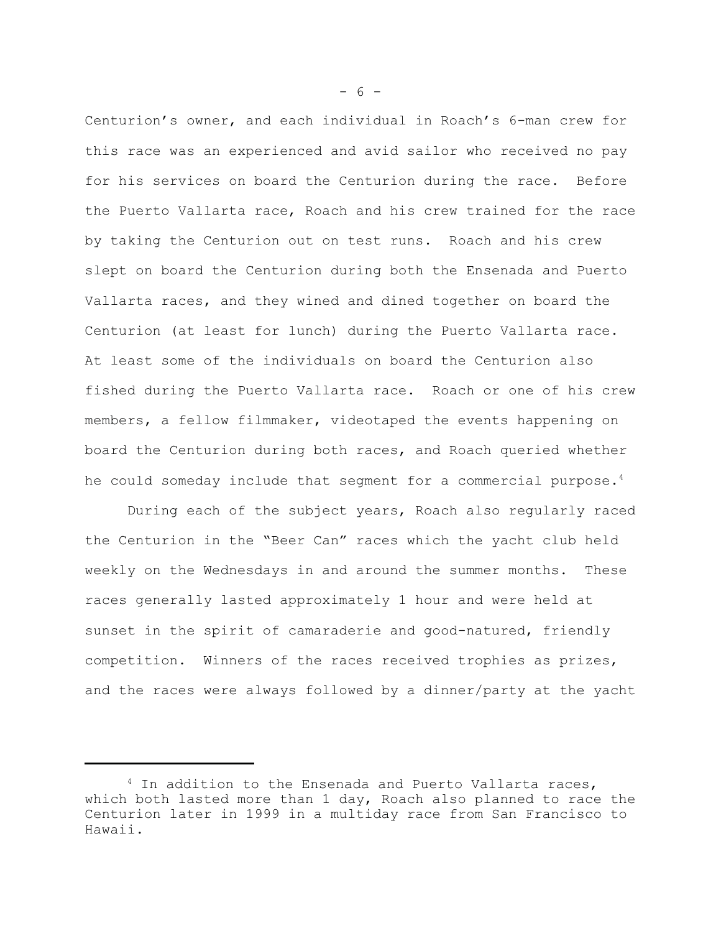Centurion's owner, and each individual in Roach's 6-man crew for this race was an experienced and avid sailor who received no pay for his services on board the Centurion during the race. Before the Puerto Vallarta race, Roach and his crew trained for the race by taking the Centurion out on test runs. Roach and his crew slept on board the Centurion during both the Ensenada and Puerto Vallarta races, and they wined and dined together on board the Centurion (at least for lunch) during the Puerto Vallarta race. At least some of the individuals on board the Centurion also fished during the Puerto Vallarta race. Roach or one of his crew members, a fellow filmmaker, videotaped the events happening on board the Centurion during both races, and Roach queried whether he could someday include that segment for a commercial purpose.<sup>4</sup>

During each of the subject years, Roach also regularly raced the Centurion in the "Beer Can" races which the yacht club held weekly on the Wednesdays in and around the summer months. These races generally lasted approximately 1 hour and were held at sunset in the spirit of camaraderie and good-natured, friendly competition. Winners of the races received trophies as prizes, and the races were always followed by a dinner/party at the yacht

 $- 6 -$ 

<sup>&</sup>lt;sup>4</sup> In addition to the Ensenada and Puerto Vallarta races, which both lasted more than 1 day, Roach also planned to race the Centurion later in 1999 in a multiday race from San Francisco to Hawaii.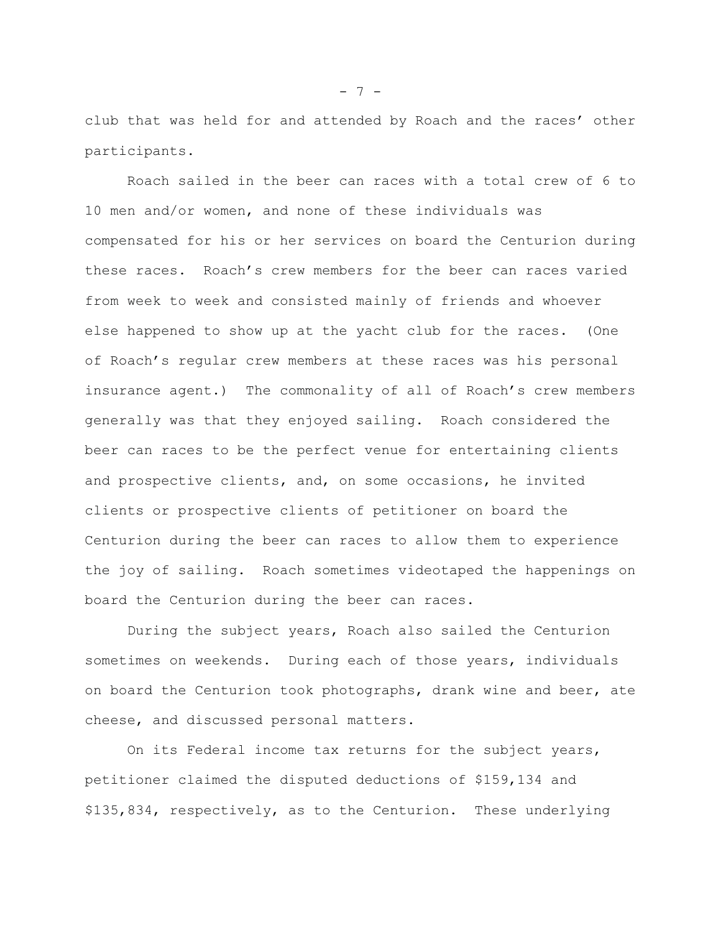club that was held for and attended by Roach and the races' other participants.

Roach sailed in the beer can races with a total crew of 6 to 10 men and/or women, and none of these individuals was compensated for his or her services on board the Centurion during these races. Roach's crew members for the beer can races varied from week to week and consisted mainly of friends and whoever else happened to show up at the yacht club for the races. (One of Roach's regular crew members at these races was his personal insurance agent.) The commonality of all of Roach's crew members generally was that they enjoyed sailing. Roach considered the beer can races to be the perfect venue for entertaining clients and prospective clients, and, on some occasions, he invited clients or prospective clients of petitioner on board the Centurion during the beer can races to allow them to experience the joy of sailing. Roach sometimes videotaped the happenings on board the Centurion during the beer can races.

During the subject years, Roach also sailed the Centurion sometimes on weekends. During each of those years, individuals on board the Centurion took photographs, drank wine and beer, ate cheese, and discussed personal matters.

On its Federal income tax returns for the subject years, petitioner claimed the disputed deductions of \$159,134 and \$135,834, respectively, as to the Centurion. These underlying

- 7 -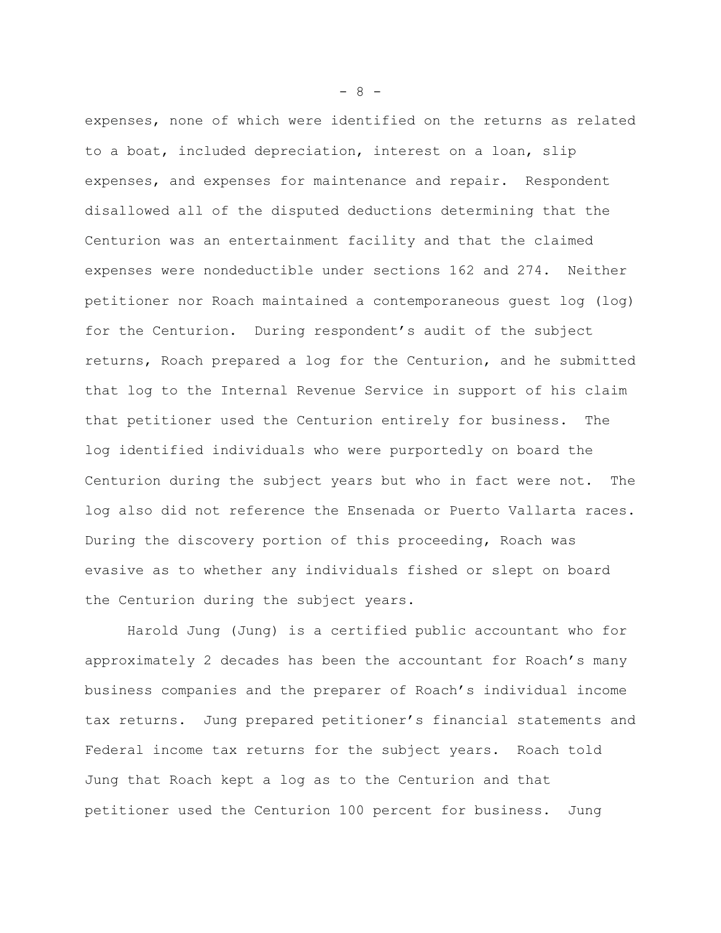expenses, none of which were identified on the returns as related to a boat, included depreciation, interest on a loan, slip expenses, and expenses for maintenance and repair. Respondent disallowed all of the disputed deductions determining that the Centurion was an entertainment facility and that the claimed expenses were nondeductible under sections 162 and 274. Neither petitioner nor Roach maintained a contemporaneous guest log (log) for the Centurion. During respondent's audit of the subject returns, Roach prepared a log for the Centurion, and he submitted that log to the Internal Revenue Service in support of his claim that petitioner used the Centurion entirely for business. The log identified individuals who were purportedly on board the Centurion during the subject years but who in fact were not. The log also did not reference the Ensenada or Puerto Vallarta races. During the discovery portion of this proceeding, Roach was evasive as to whether any individuals fished or slept on board the Centurion during the subject years.

Harold Jung (Jung) is a certified public accountant who for approximately 2 decades has been the accountant for Roach's many business companies and the preparer of Roach's individual income tax returns. Jung prepared petitioner's financial statements and Federal income tax returns for the subject years. Roach told Jung that Roach kept a log as to the Centurion and that petitioner used the Centurion 100 percent for business. Jung

- 8 -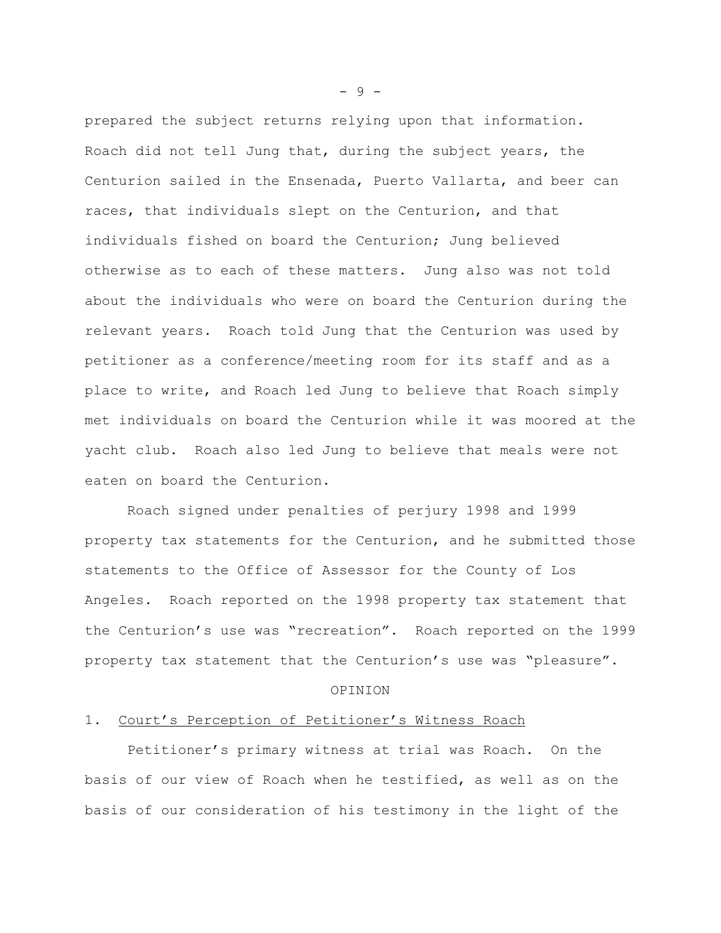prepared the subject returns relying upon that information. Roach did not tell Jung that, during the subject years, the Centurion sailed in the Ensenada, Puerto Vallarta, and beer can races, that individuals slept on the Centurion, and that individuals fished on board the Centurion; Jung believed otherwise as to each of these matters. Jung also was not told about the individuals who were on board the Centurion during the relevant years. Roach told Jung that the Centurion was used by petitioner as a conference/meeting room for its staff and as a place to write, and Roach led Jung to believe that Roach simply met individuals on board the Centurion while it was moored at the yacht club. Roach also led Jung to believe that meals were not eaten on board the Centurion.

Roach signed under penalties of perjury 1998 and 1999 property tax statements for the Centurion, and he submitted those statements to the Office of Assessor for the County of Los Angeles. Roach reported on the 1998 property tax statement that the Centurion's use was "recreation". Roach reported on the 1999 property tax statement that the Centurion's use was "pleasure".

#### OPINION

## 1. Court's Perception of Petitioner's Witness Roach

Petitioner's primary witness at trial was Roach. On the basis of our view of Roach when he testified, as well as on the basis of our consideration of his testimony in the light of the

- 9 -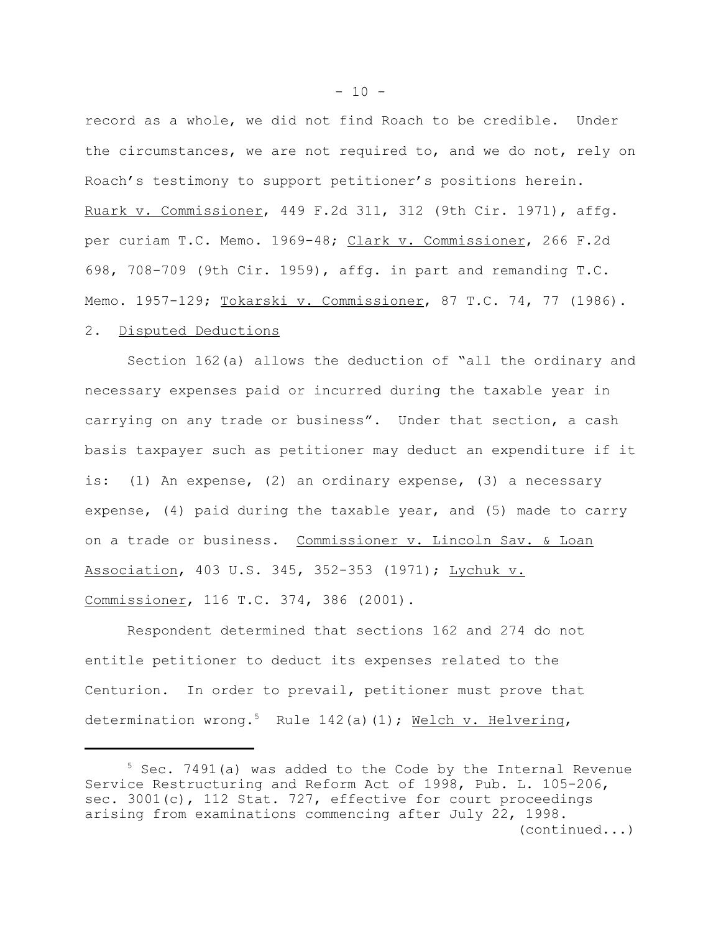record as a whole, we did not find Roach to be credible. Under the circumstances, we are not required to, and we do not, rely on Roach's testimony to support petitioner's positions herein. Ruark v. Commissioner, 449 F.2d 311, 312 (9th Cir. 1971), affg. per curiam T.C. Memo. 1969-48; Clark v. Commissioner, 266 F.2d 698, 708-709 (9th Cir. 1959), affg. in part and remanding T.C. Memo. 1957-129; Tokarski v. Commissioner, 87 T.C. 74, 77 (1986).

# 2. Disputed Deductions

Section 162(a) allows the deduction of "all the ordinary and necessary expenses paid or incurred during the taxable year in carrying on any trade or business". Under that section, a cash basis taxpayer such as petitioner may deduct an expenditure if it is: (1) An expense, (2) an ordinary expense, (3) a necessary expense, (4) paid during the taxable year, and (5) made to carry on a trade or business. Commissioner v. Lincoln Sav. & Loan Association, 403 U.S. 345, 352-353 (1971); Lychuk v. Commissioner, 116 T.C. 374, 386 (2001).

Respondent determined that sections 162 and 274 do not entitle petitioner to deduct its expenses related to the Centurion. In order to prevail, petitioner must prove that determination wrong.<sup>5</sup> Rule 142(a)(1); Welch v. Helvering,

<sup>&</sup>lt;sup>5</sup> Sec. 7491(a) was added to the Code by the Internal Revenue Service Restructuring and Reform Act of 1998, Pub. L. 105-206, sec. 3001(c), 112 Stat. 727, effective for court proceedings arising from examinations commencing after July 22, 1998. (continued...)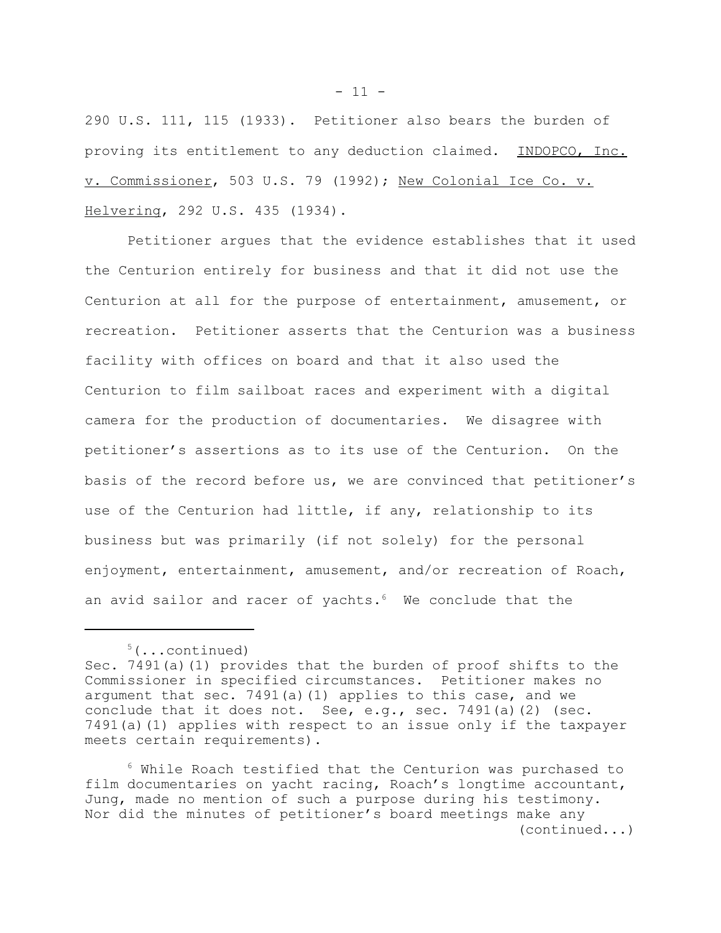290 U.S. 111, 115 (1933). Petitioner also bears the burden of proving its entitlement to any deduction claimed. INDOPCO, Inc. v. Commissioner, 503 U.S. 79 (1992); New Colonial Ice Co. v. Helvering, 292 U.S. 435 (1934).

Petitioner argues that the evidence establishes that it used the Centurion entirely for business and that it did not use the Centurion at all for the purpose of entertainment, amusement, or recreation. Petitioner asserts that the Centurion was a business facility with offices on board and that it also used the Centurion to film sailboat races and experiment with a digital camera for the production of documentaries. We disagree with petitioner's assertions as to its use of the Centurion. On the basis of the record before us, we are convinced that petitioner's use of the Centurion had little, if any, relationship to its business but was primarily (if not solely) for the personal enjoyment, entertainment, amusement, and/or recreation of Roach, an avid sailor and racer of yachts.<sup>6</sup> We conclude that the

 $- 11 -$ 

 $5(\ldots$ continued)

Sec. 7491(a)(1) provides that the burden of proof shifts to the Commissioner in specified circumstances. Petitioner makes no argument that sec. 7491(a)(1) applies to this case, and we conclude that it does not. See, e.g., sec. 7491(a)(2) (sec. 7491(a)(1) applies with respect to an issue only if the taxpayer meets certain requirements).

 $6$  While Roach testified that the Centurion was purchased to film documentaries on yacht racing, Roach's longtime accountant, Jung, made no mention of such a purpose during his testimony. Nor did the minutes of petitioner's board meetings make any (continued...)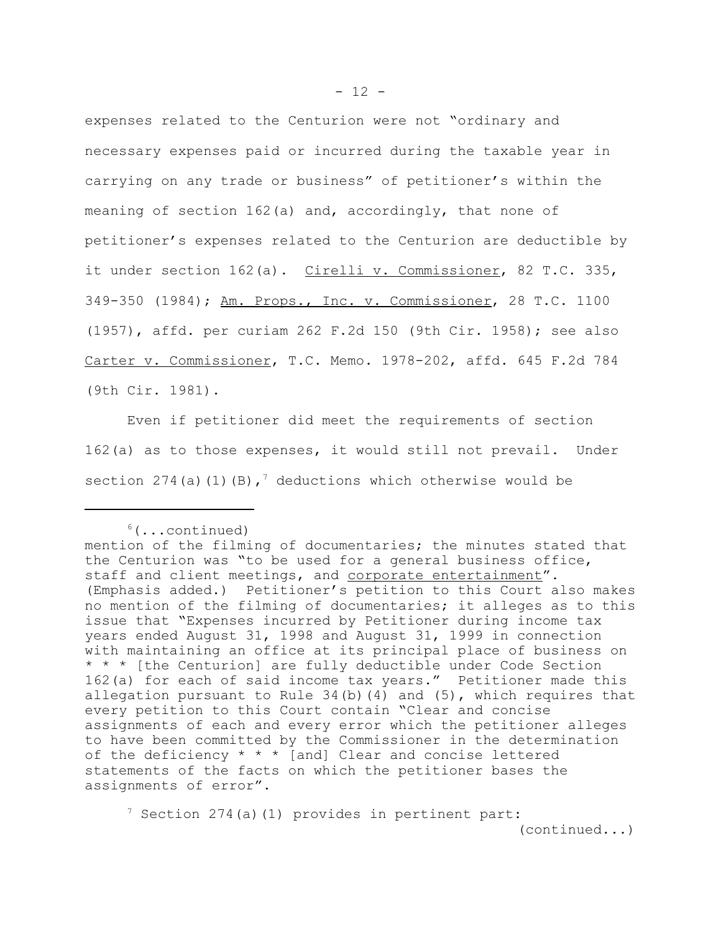expenses related to the Centurion were not "ordinary and necessary expenses paid or incurred during the taxable year in carrying on any trade or business" of petitioner's within the meaning of section 162(a) and, accordingly, that none of petitioner's expenses related to the Centurion are deductible by it under section 162(a). Cirelli v. Commissioner, 82 T.C. 335, 349-350 (1984); Am. Props., Inc. v. Commissioner, 28 T.C. 1100 (1957), affd. per curiam 262 F.2d 150 (9th Cir. 1958); see also Carter v. Commissioner, T.C. Memo. 1978-202, affd. 645 F.2d 784 (9th Cir. 1981).

Even if petitioner did meet the requirements of section 162(a) as to those expenses, it would still not prevail. Under section 274(a)(1)(B),<sup>7</sup> deductions which otherwise would be

 $7$  Section 274(a)(1) provides in pertinent part: (continued...)

 $6(\ldots \text{continued})$ 

mention of the filming of documentaries; the minutes stated that the Centurion was "to be used for a general business office, staff and client meetings, and corporate entertainment". (Emphasis added.) Petitioner's petition to this Court also makes no mention of the filming of documentaries; it alleges as to this issue that "Expenses incurred by Petitioner during income tax years ended August 31, 1998 and August 31, 1999 in connection with maintaining an office at its principal place of business on \* \* \* [the Centurion] are fully deductible under Code Section 162(a) for each of said income tax years." Petitioner made this allegation pursuant to Rule 34(b)(4) and (5), which requires that every petition to this Court contain "Clear and concise assignments of each and every error which the petitioner alleges to have been committed by the Commissioner in the determination of the deficiency \* \* \* [and] Clear and concise lettered statements of the facts on which the petitioner bases the assignments of error".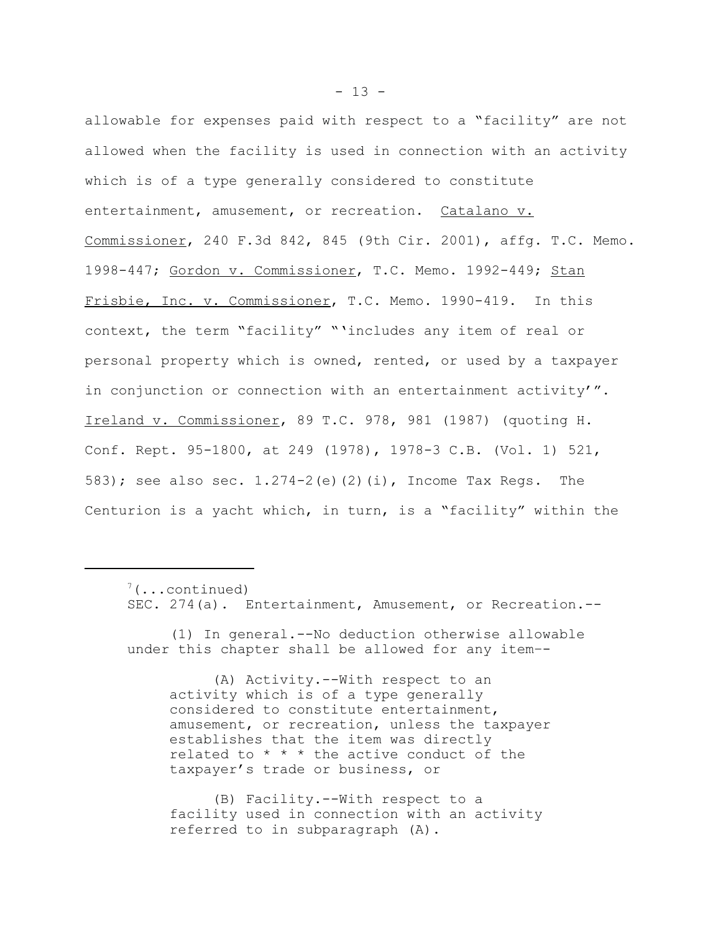allowable for expenses paid with respect to a "facility" are not allowed when the facility is used in connection with an activity which is of a type generally considered to constitute entertainment, amusement, or recreation. Catalano v. Commissioner, 240 F.3d 842, 845 (9th Cir. 2001), affg. T.C. Memo. 1998-447; Gordon v. Commissioner, T.C. Memo. 1992-449; Stan Frisbie, Inc. v. Commissioner, T.C. Memo. 1990-419. In this context, the term "facility" "'includes any item of real or personal property which is owned, rented, or used by a taxpayer in conjunction or connection with an entertainment activity'". Ireland v. Commissioner, 89 T.C. 978, 981 (1987) (quoting H. Conf. Rept. 95-1800, at 249 (1978), 1978-3 C.B. (Vol. 1) 521, 583); see also sec. 1.274-2(e)(2)(i), Income Tax Regs. The Centurion is a yacht which, in turn, is a "facility" within the

(A) Activity.--With respect to an activity which is of a type generally considered to constitute entertainment, amusement, or recreation, unless the taxpayer establishes that the item was directly related to  $* * *$  the active conduct of the taxpayer's trade or business, or

(B) Facility.--With respect to a facility used in connection with an activity referred to in subparagraph (A).

 $7(\ldots \text{continued})$ SEC. 274(a). Entertainment, Amusement, or Recreation.--

<sup>(1)</sup> In general.--No deduction otherwise allowable under this chapter shall be allowed for any item–-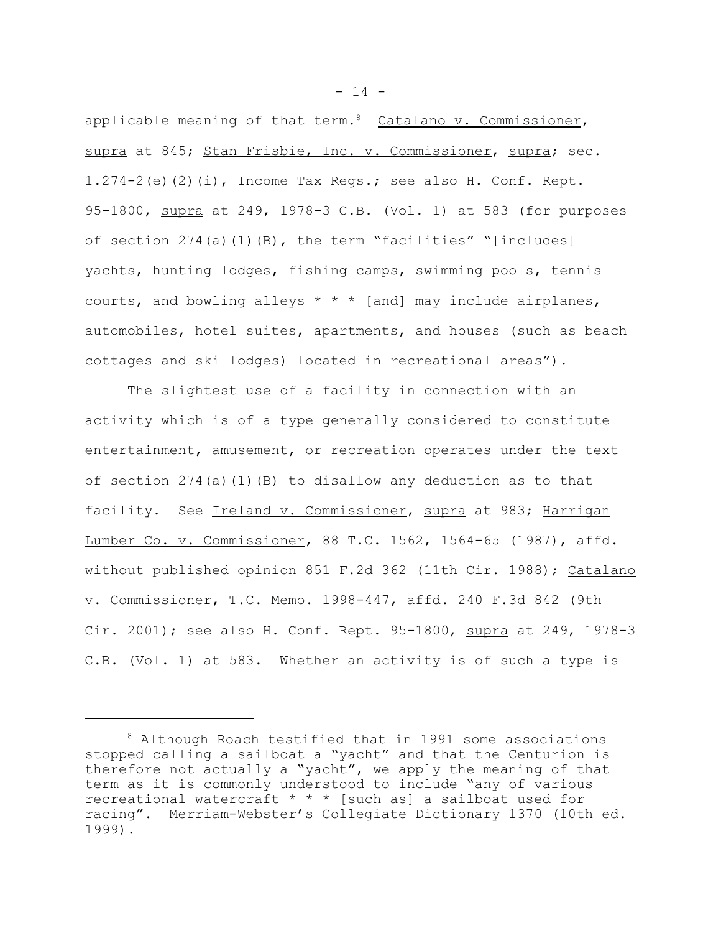applicable meaning of that term.<sup>8</sup> Catalano  $v$ . Commissioner, supra at 845; Stan Frisbie, Inc. v. Commissioner, supra; sec. 1.274-2(e)(2)(i), Income Tax Regs.; see also H. Conf. Rept. 95-1800, supra at 249, 1978-3 C.B. (Vol. 1) at 583 (for purposes of section  $274(a)(1)(B)$ , the term "facilities" "[includes] yachts, hunting lodges, fishing camps, swimming pools, tennis courts, and bowling alleys  $* * *$  [and] may include airplanes, automobiles, hotel suites, apartments, and houses (such as beach cottages and ski lodges) located in recreational areas").

The slightest use of a facility in connection with an activity which is of a type generally considered to constitute entertainment, amusement, or recreation operates under the text of section 274(a)(1)(B) to disallow any deduction as to that facility. See Ireland v. Commissioner, supra at 983; Harrigan Lumber Co. v. Commissioner, 88 T.C. 1562, 1564-65 (1987), affd. without published opinion 851 F.2d 362 (11th Cir. 1988); Catalano v. Commissioner, T.C. Memo. 1998-447, affd. 240 F.3d 842 (9th Cir. 2001); see also H. Conf. Rept. 95-1800, supra at 249, 1978-3 C.B. (Vol. 1) at 583. Whether an activity is of such a type is

 $- 14 -$ 

<sup>8</sup> Although Roach testified that in 1991 some associations stopped calling a sailboat a "yacht" and that the Centurion is therefore not actually a "yacht", we apply the meaning of that term as it is commonly understood to include "any of various recreational watercraft  $* * *$  [such as] a sailboat used for racing". Merriam-Webster's Collegiate Dictionary 1370 (10th ed. 1999).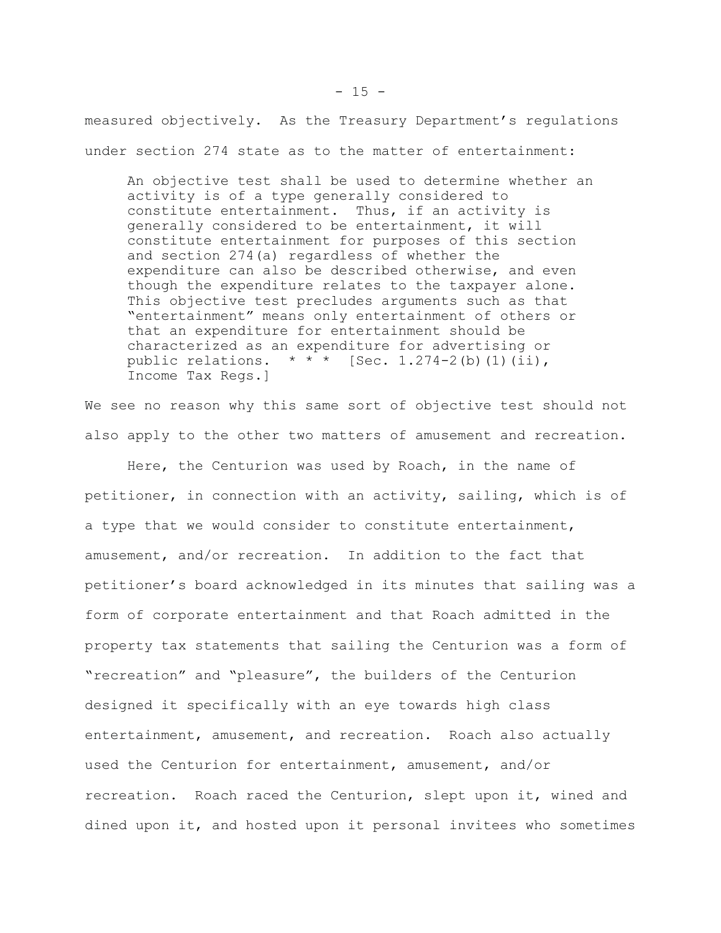measured objectively. As the Treasury Department's regulations under section 274 state as to the matter of entertainment:

An objective test shall be used to determine whether an activity is of a type generally considered to constitute entertainment. Thus, if an activity is generally considered to be entertainment, it will constitute entertainment for purposes of this section and section 274(a) regardless of whether the expenditure can also be described otherwise, and even though the expenditure relates to the taxpayer alone. This objective test precludes arguments such as that "entertainment" means only entertainment of others or that an expenditure for entertainment should be characterized as an expenditure for advertising or public relations.  $* * *$  [Sec. 1.274-2(b)(1)(ii), Income Tax Regs.]

We see no reason why this same sort of objective test should not also apply to the other two matters of amusement and recreation.

Here, the Centurion was used by Roach, in the name of petitioner, in connection with an activity, sailing, which is of a type that we would consider to constitute entertainment, amusement, and/or recreation. In addition to the fact that petitioner's board acknowledged in its minutes that sailing was a form of corporate entertainment and that Roach admitted in the property tax statements that sailing the Centurion was a form of "recreation" and "pleasure", the builders of the Centurion designed it specifically with an eye towards high class entertainment, amusement, and recreation. Roach also actually used the Centurion for entertainment, amusement, and/or recreation. Roach raced the Centurion, slept upon it, wined and dined upon it, and hosted upon it personal invitees who sometimes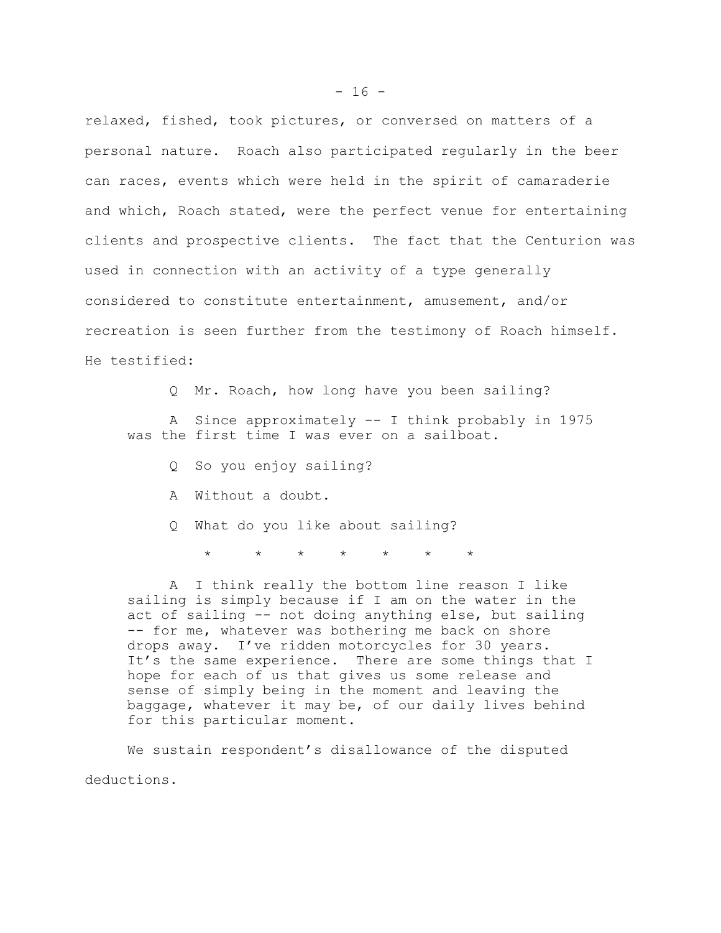relaxed, fished, took pictures, or conversed on matters of a personal nature. Roach also participated regularly in the beer can races, events which were held in the spirit of camaraderie and which, Roach stated, were the perfect venue for entertaining clients and prospective clients. The fact that the Centurion was used in connection with an activity of a type generally considered to constitute entertainment, amusement, and/or recreation is seen further from the testimony of Roach himself. He testified:

Q Mr. Roach, how long have you been sailing?

A Since approximately -- I think probably in 1975 was the first time I was ever on a sailboat.

- Q So you enjoy sailing?
- A Without a doubt.
- Q What do you like about sailing?

 $\star$   $\star$   $\star$   $\star$   $\star$   $\star$   $\star$ 

A I think really the bottom line reason I like sailing is simply because if I am on the water in the act of sailing -- not doing anything else, but sailing -- for me, whatever was bothering me back on shore drops away. I've ridden motorcycles for 30 years. It's the same experience. There are some things that I hope for each of us that gives us some release and sense of simply being in the moment and leaving the baggage, whatever it may be, of our daily lives behind for this particular moment.

We sustain respondent's disallowance of the disputed deductions.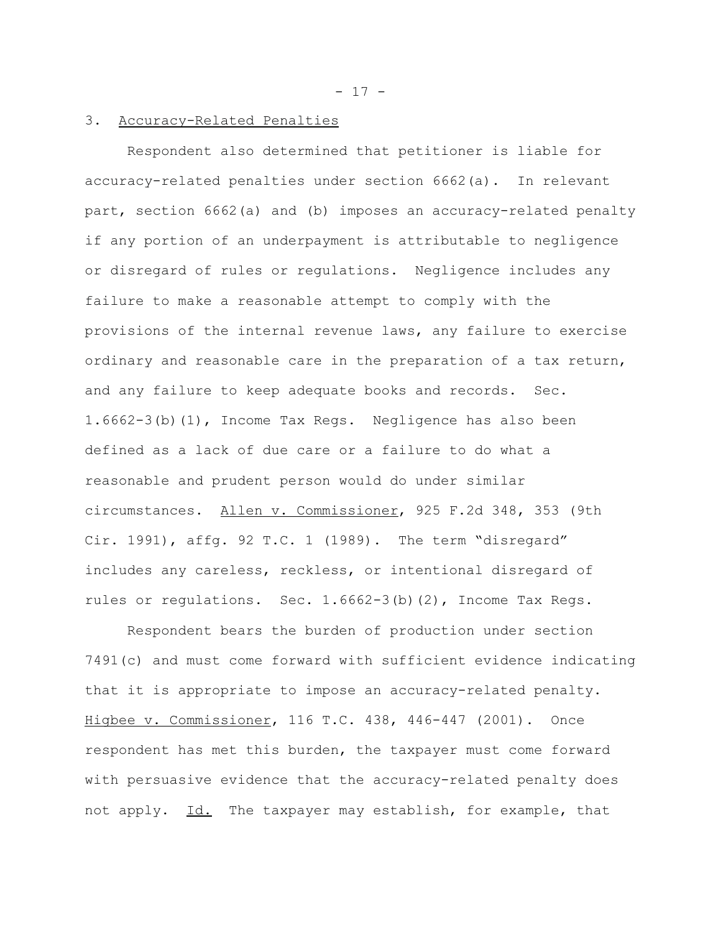$- 17 -$ 

## 3. Accuracy-Related Penalties

Respondent also determined that petitioner is liable for accuracy-related penalties under section 6662(a). In relevant part, section 6662(a) and (b) imposes an accuracy-related penalty if any portion of an underpayment is attributable to negligence or disregard of rules or regulations. Negligence includes any failure to make a reasonable attempt to comply with the provisions of the internal revenue laws, any failure to exercise ordinary and reasonable care in the preparation of a tax return, and any failure to keep adequate books and records. Sec. 1.6662-3(b)(1), Income Tax Regs. Negligence has also been defined as a lack of due care or a failure to do what a reasonable and prudent person would do under similar circumstances. Allen v. Commissioner, 925 F.2d 348, 353 (9th Cir. 1991), affg. 92 T.C. 1 (1989). The term "disregard" includes any careless, reckless, or intentional disregard of rules or regulations. Sec. 1.6662-3(b)(2), Income Tax Regs.

Respondent bears the burden of production under section 7491(c) and must come forward with sufficient evidence indicating that it is appropriate to impose an accuracy-related penalty. Higbee v. Commissioner, 116 T.C. 438, 446-447 (2001). Once respondent has met this burden, the taxpayer must come forward with persuasive evidence that the accuracy-related penalty does not apply. Id. The taxpayer may establish, for example, that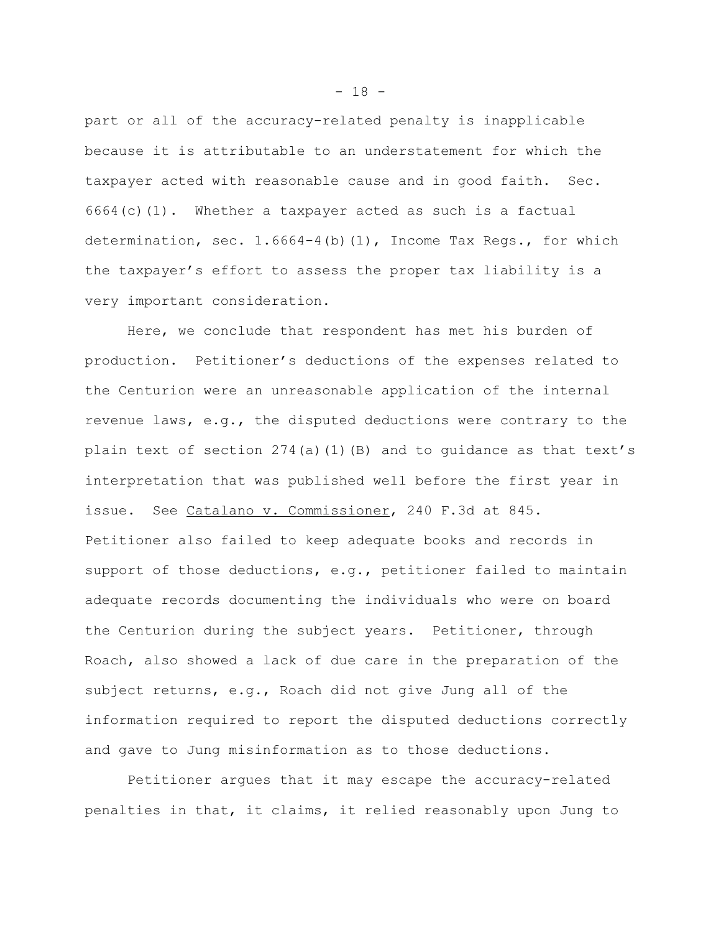part or all of the accuracy-related penalty is inapplicable because it is attributable to an understatement for which the taxpayer acted with reasonable cause and in good faith. Sec.  $6664(c)(1)$ . Whether a taxpayer acted as such is a factual determination, sec. 1.6664-4(b)(1), Income Tax Regs., for which the taxpayer's effort to assess the proper tax liability is a very important consideration.

Here, we conclude that respondent has met his burden of production. Petitioner's deductions of the expenses related to the Centurion were an unreasonable application of the internal revenue laws, e.g., the disputed deductions were contrary to the plain text of section  $274(a)(1)(B)$  and to quidance as that text's interpretation that was published well before the first year in issue. See Catalano v. Commissioner, 240 F.3d at 845. Petitioner also failed to keep adequate books and records in support of those deductions, e.g., petitioner failed to maintain adequate records documenting the individuals who were on board the Centurion during the subject years. Petitioner, through Roach, also showed a lack of due care in the preparation of the subject returns, e.g., Roach did not give Jung all of the information required to report the disputed deductions correctly and gave to Jung misinformation as to those deductions.

Petitioner argues that it may escape the accuracy-related penalties in that, it claims, it relied reasonably upon Jung to

 $- 18 -$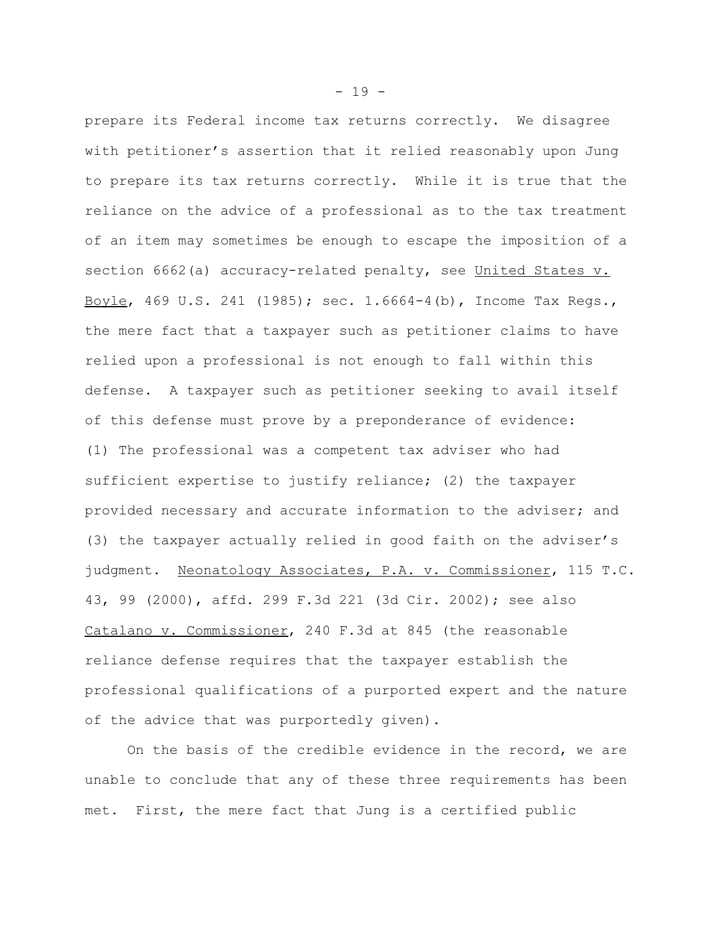prepare its Federal income tax returns correctly. We disagree with petitioner's assertion that it relied reasonably upon Jung to prepare its tax returns correctly. While it is true that the reliance on the advice of a professional as to the tax treatment of an item may sometimes be enough to escape the imposition of a section 6662(a) accuracy-related penalty, see United States v. Boyle, 469 U.S. 241 (1985); sec. 1.6664-4(b), Income Tax Regs., the mere fact that a taxpayer such as petitioner claims to have relied upon a professional is not enough to fall within this defense. A taxpayer such as petitioner seeking to avail itself of this defense must prove by a preponderance of evidence: (1) The professional was a competent tax adviser who had sufficient expertise to justify reliance; (2) the taxpayer provided necessary and accurate information to the adviser; and (3) the taxpayer actually relied in good faith on the adviser's judgment. Neonatology Associates, P.A. v. Commissioner, 115 T.C. 43, 99 (2000), affd. 299 F.3d 221 (3d Cir. 2002); see also Catalano v. Commissioner, 240 F.3d at 845 (the reasonable reliance defense requires that the taxpayer establish the professional qualifications of a purported expert and the nature of the advice that was purportedly given).

On the basis of the credible evidence in the record, we are unable to conclude that any of these three requirements has been met. First, the mere fact that Jung is a certified public

 $- 19 -$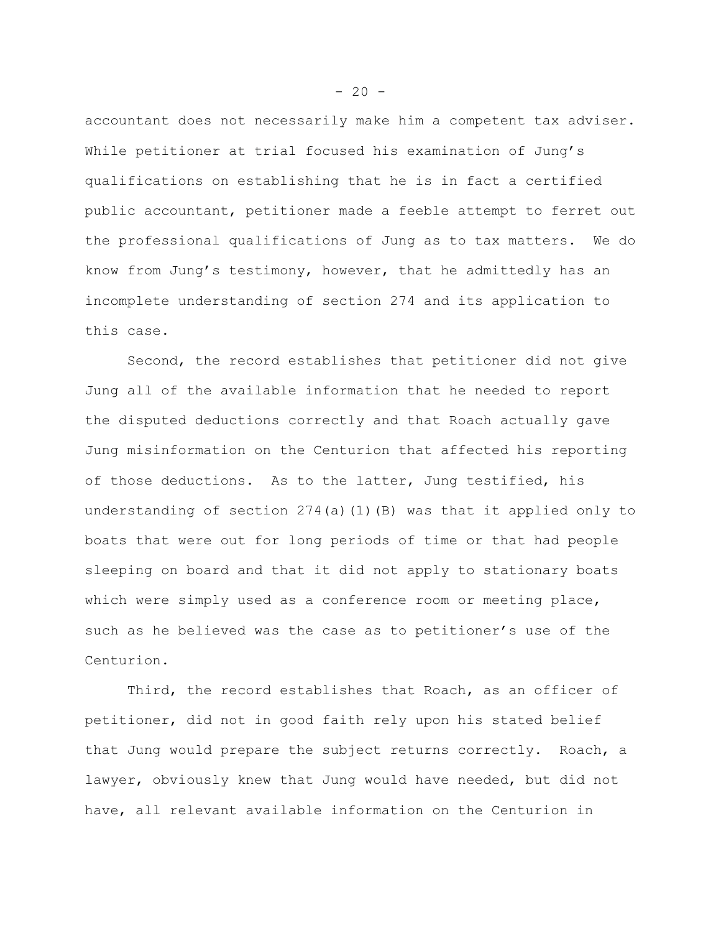accountant does not necessarily make him a competent tax adviser. While petitioner at trial focused his examination of Jung's qualifications on establishing that he is in fact a certified public accountant, petitioner made a feeble attempt to ferret out the professional qualifications of Jung as to tax matters. We do know from Jung's testimony, however, that he admittedly has an incomplete understanding of section 274 and its application to this case.

Second, the record establishes that petitioner did not give Jung all of the available information that he needed to report the disputed deductions correctly and that Roach actually gave Jung misinformation on the Centurion that affected his reporting of those deductions. As to the latter, Jung testified, his understanding of section  $274(a)(1)(B)$  was that it applied only to boats that were out for long periods of time or that had people sleeping on board and that it did not apply to stationary boats which were simply used as a conference room or meeting place, such as he believed was the case as to petitioner's use of the Centurion.

Third, the record establishes that Roach, as an officer of petitioner, did not in good faith rely upon his stated belief that Jung would prepare the subject returns correctly. Roach, a lawyer, obviously knew that Jung would have needed, but did not have, all relevant available information on the Centurion in

 $-20 -$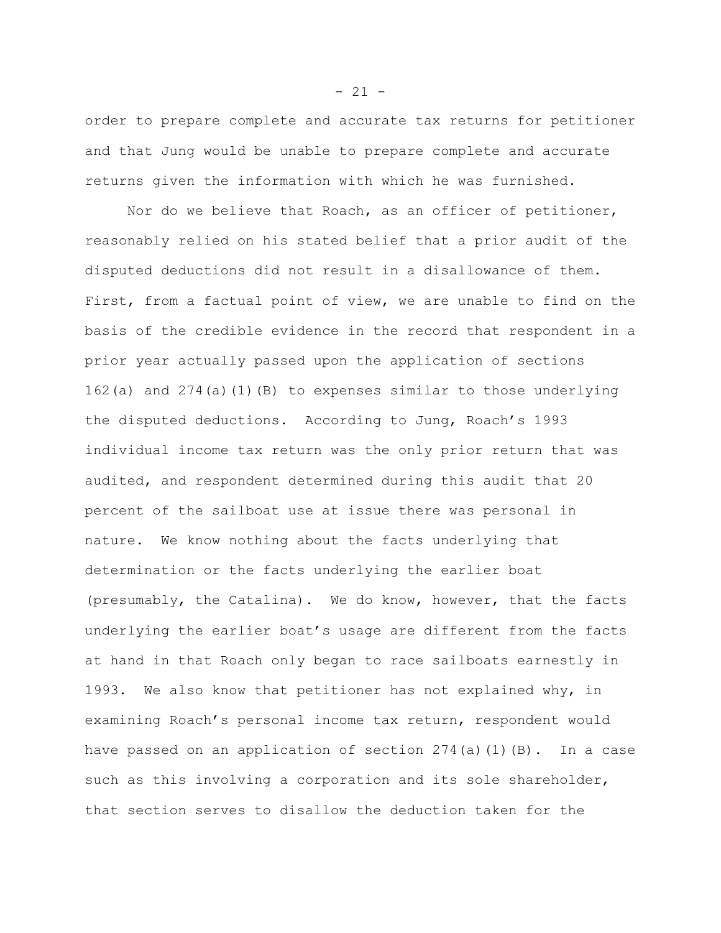order to prepare complete and accurate tax returns for petitioner and that Jung would be unable to prepare complete and accurate returns given the information with which he was furnished.

Nor do we believe that Roach, as an officer of petitioner, reasonably relied on his stated belief that a prior audit of the disputed deductions did not result in a disallowance of them. First, from a factual point of view, we are unable to find on the basis of the credible evidence in the record that respondent in a prior year actually passed upon the application of sections 162(a) and 274(a)(1)(B) to expenses similar to those underlying the disputed deductions. According to Jung, Roach's 1993 individual income tax return was the only prior return that was audited, and respondent determined during this audit that 20 percent of the sailboat use at issue there was personal in nature. We know nothing about the facts underlying that determination or the facts underlying the earlier boat (presumably, the Catalina). We do know, however, that the facts underlying the earlier boat's usage are different from the facts at hand in that Roach only began to race sailboats earnestly in 1993. We also know that petitioner has not explained why, in examining Roach's personal income tax return, respondent would have passed on an application of section  $274(a)(1)(B)$ . In a case such as this involving a corporation and its sole shareholder, that section serves to disallow the deduction taken for the

 $- 21 -$